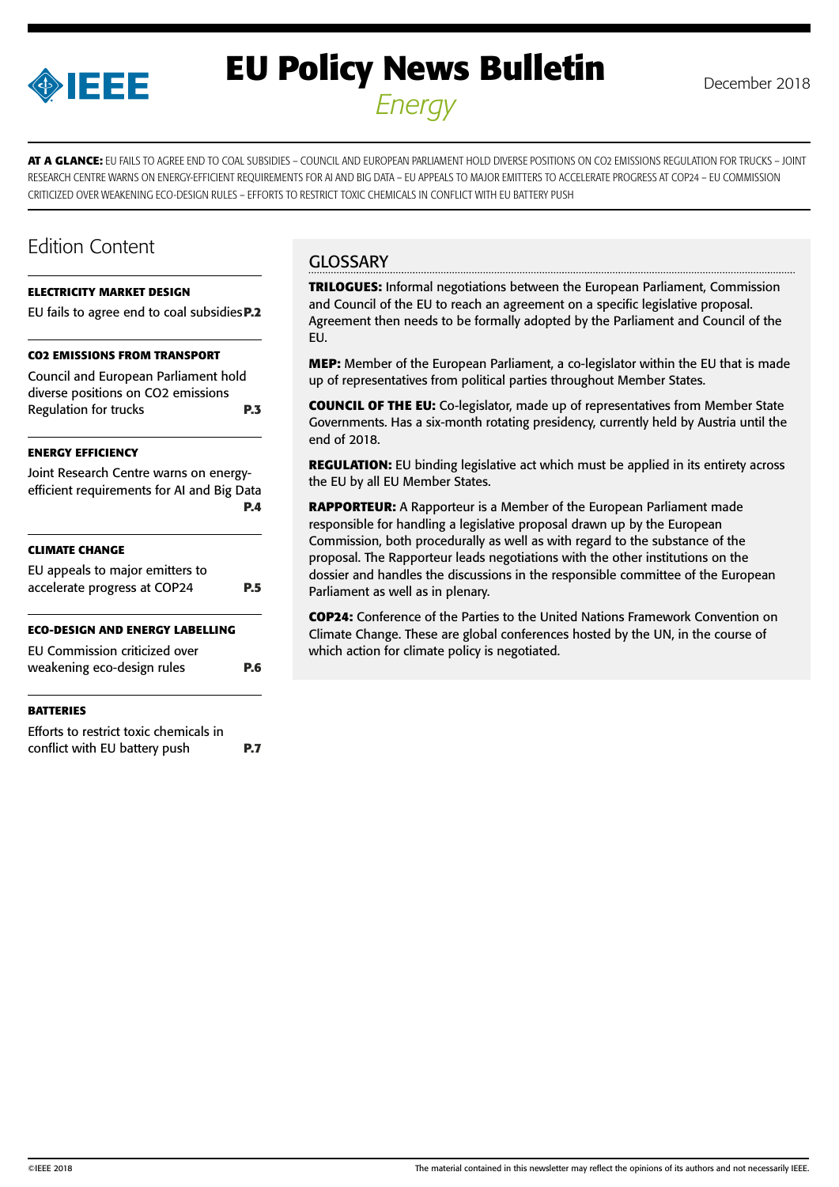

# **EU Policy News Bulletin** December 2018 *Energy*

**AT A GLANCE:** EU FAILS TO AGREE END TO COAL SUBSIDIES – COUNCIL AND EUROPEAN PARLIAMENT HOLD DIVERSE POSITIONS ON CO2 EMISSIONS REGULATION FOR TRUCKS – JOINT RESEARCH CENTRE WARNS ON ENERGY-EFFICIENT REQUIREMENTS FOR AI AND BIG DATA – EU APPEALS TO MAJOR EMITTERS TO ACCELERATE PROGRESS AT COP24 – EU COMMISSION CRITICIZED OVER WEAKENING ECO-DESIGN RULES – EFFORTS TO RESTRICT TOXIC CHEMICALS IN CONFLICT WITH EU BATTERY PUSH

## Edition Content

#### **[ELECTRICITY MARKET DESIGN](#page-1-0)**

|  |  | <b>CO2 EMISSIONS FROM TRANSPORT</b> |                                                    |  |
|--|--|-------------------------------------|----------------------------------------------------|--|
|  |  |                                     | EU fails to agree end to coal subsidies <b>P.2</b> |  |

[Council and European Parliament hold](#page-2-0)  [diverse positions on CO2 emissions](#page-2-0)  [Regulation for trucks](#page-2-0) **P.3**

#### **[ENERGY EFFICIENCY](#page-3-0)**

| Joint Research Centre warns on energy-<br>efficient requirements for AI and Big Data | P.4 |
|--------------------------------------------------------------------------------------|-----|
| CLIMATE CHANGE                                                                       |     |
| EU appeals to major emitters to                                                      |     |
| accelerate progress at COP24                                                         | P.5 |
| ECO-DESIGN AND ENERGY LABELLING                                                      |     |
| EU Commission criticized over                                                        |     |
| weakening eco-design rules                                                           | P.6 |
| <b>BATTERIES</b>                                                                     |     |
|                                                                                      |     |

[Efforts to restrict toxic chemicals in](#page-6-0)  [conflict with EU battery push](#page-6-0) **P.7**

## **GLOSSARY**

**TRILOGUES:** Informal negotiations between the European Parliament, Commission and Council of the EU to reach an agreement on a specific legislative proposal. Agreement then needs to be formally adopted by the Parliament and Council of the EU.

**MEP:** Member of the European Parliament, a co-legislator within the EU that is made up of representatives from political parties throughout Member States.

**COUNCIL OF THE EU:** Co-legislator, made up of representatives from Member State Governments. Has a six-month rotating presidency, currently held by Austria until the end of 2018.

**REGULATION:** EU binding legislative act which must be applied in its entirety across the EU by all EU Member States.

**RAPPORTEUR:** A Rapporteur is a Member of the European Parliament made responsible for handling a legislative proposal drawn up by the European Commission, both procedurally as well as with regard to the substance of the proposal. The Rapporteur leads negotiations with the other institutions on the dossier and handles the discussions in the responsible committee of the European Parliament as well as in plenary.

**COP24:** Conference of the Parties to the United Nations Framework Convention on Climate Change. These are global conferences hosted by the UN, in the course of which action for climate policy is negotiated.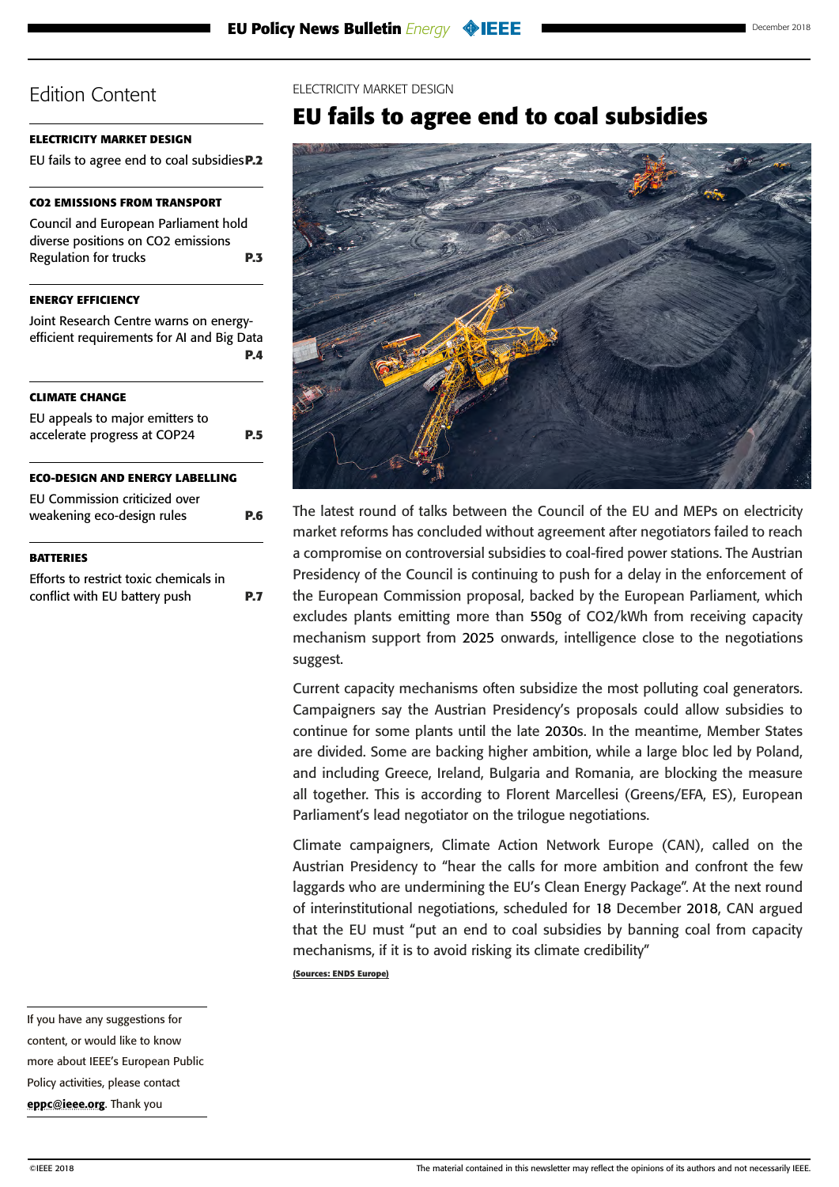### <span id="page-1-0"></span>**ELECTRICITY MARKET DESIGN**

EU fails to agree end to coal subsidies**P.2**

### **[CO2 EMISSIONS FROM TRANSPORT](#page-2-0)**

[Council and European Parliament hold](#page-2-0)  [diverse positions on CO2 emissions](#page-2-0)  [Regulation for trucks](#page-2-0) **P.3**

### **[ENERGY EFFICIENCY](#page-3-0)**

[Joint Research Centre warns on energy](#page-3-0)[efficient requirements for AI and Big Data](#page-3-0) **[P.4](#page-3-0)**

### **[CLIMATE CHANGE](#page-4-0)**

| EU appeals to major emitters to<br>accelerate progress at COP24 |  |  |
|-----------------------------------------------------------------|--|--|
| <b>ECO-DESIGN AND ENERGY LABELLING</b>                          |  |  |
| EU Commission criticized over<br>weakening eco-design rules     |  |  |

### **[BATTERIES](#page-6-0)**

[Efforts to restrict toxic chemicals in](#page-6-0)  [conflict with EU battery push](#page-6-0) **P.7**

#### ELECTRICITY MARKET DESIGN

## **EU fails to agree end to coal subsidies**



The latest round of talks between the Council of the EU and MEPs on electricity market reforms has concluded without agreement after negotiators failed to reach a compromise on controversial subsidies to coal-fired power stations. The Austrian Presidency of the Council is continuing to push for a delay in the enforcement of the European Commission proposal, backed by the European Parliament, which excludes plants emitting more than 550g of CO2/kWh from receiving capacity mechanism support from 2025 onwards, intelligence close to the negotiations suggest.

Current capacity mechanisms often subsidize the most polluting coal generators. Campaigners say the Austrian Presidency's proposals could allow subsidies to continue for some plants until the late 2030s. In the meantime, Member States are divided. Some are backing higher ambition, while a large bloc led by Poland, and including Greece, Ireland, Bulgaria and Romania, are blocking the measure all together. This is according to Florent Marcellesi (Greens/EFA, ES), European Parliament's lead negotiator on the trilogue negotiations.

Climate campaigners, Climate Action Network Europe (CAN), called on the Austrian Presidency to "hear the calls for more ambition and confront the few laggards who are undermining the EU's Clean Energy Package". At the next round of interinstitutional negotiations, scheduled for 18 December 2018, CAN argued that the EU must "put an end to coal subsidies by banning coal from capacity mechanisms, if it is to avoid risking its climate credibility"

**(Sources: ENDS Europe)**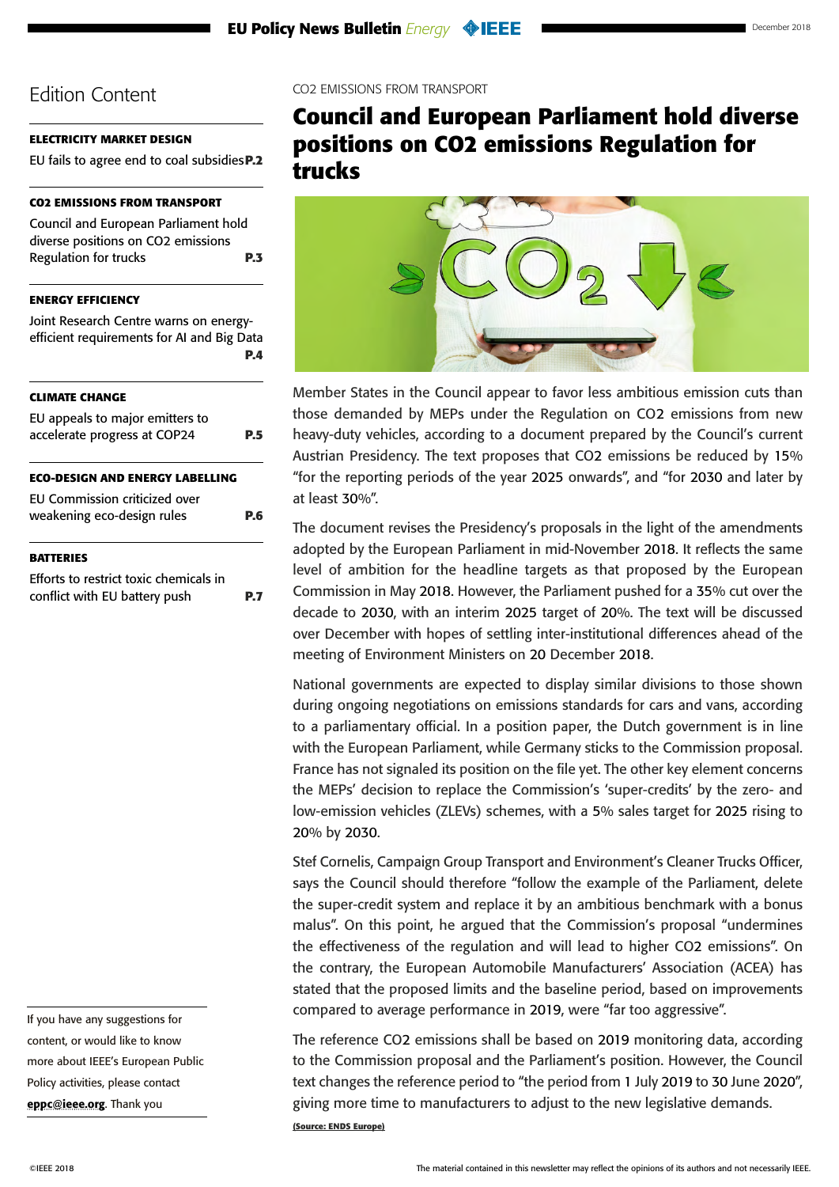### <span id="page-2-0"></span>**[ELECTRICITY MARKET DESIGN](#page-1-0)**

[EU fails to agree end to coal subsidies](#page-1-0)**P.2**

## **CO2 EMISSIONS FROM TRANSPORT**

Council and European Parliament hold diverse positions on CO2 emissions Regulation for trucks **P.3**

### **[ENERGY EFFICIENCY](#page-3-0)**

[Joint Research Centre warns on energy](#page-3-0)[efficient requirements for AI and Big Data](#page-3-0) **[P.4](#page-3-0)**

## **[CLIMATE CHANGE](#page-4-0)**

| EU appeals to major emitters to<br>accelerate progress at COP24    |  |
|--------------------------------------------------------------------|--|
| <b>ECO-DESIGN AND ENERGY LABELLING</b>                             |  |
| <b>EU Commission criticized over</b><br>weakening eco-design rules |  |

#### **[BATTERIES](#page-6-0)**

[Efforts to restrict toxic chemicals in](#page-6-0)  [conflict with EU battery push](#page-6-0) **P.7** CO2 EMISSIONS FROM TRANSPORT

## **Council and European Parliament hold diverse positions on CO2 emissions Regulation for trucks**



Member States in the Council appear to favor less ambitious emission cuts than those demanded by MEPs under the Regulation on CO2 emissions from new heavy-duty vehicles, according to a document prepared by the Council's current Austrian Presidency. The text proposes that CO2 emissions be reduced by 15% "for the reporting periods of the year 2025 onwards", and "for 2030 and later by at least 30%".

The document revises the Presidency's proposals in the light of the amendments adopted by the European Parliament in mid-November 2018. It reflects the same level of ambition for the headline targets as that proposed by the European Commission in May 2018. However, the Parliament pushed for a 35% cut over the decade to 2030, with an interim 2025 target of 20%. The text will be discussed over December with hopes of settling inter-institutional differences ahead of the meeting of Environment Ministers on 20 December 2018.

National governments are expected to display similar divisions to those shown during ongoing negotiations on emissions standards for cars and vans, according to a parliamentary official. In a position paper, the Dutch government is in line with the European Parliament, while Germany sticks to the Commission proposal. France has not signaled its position on the file yet. The other key element concerns the MEPs' decision to replace the Commission's 'super-credits' by the zero- and low-emission vehicles (ZLEVs) schemes, with a 5% sales target for 2025 rising to 20% by 2030.

Stef Cornelis, Campaign Group Transport and Environment's Cleaner Trucks Officer, says the Council should therefore "follow the example of the Parliament, delete the super-credit system and replace it by an ambitious benchmark with a bonus malus". On this point, he argued that the Commission's proposal "undermines the effectiveness of the regulation and will lead to higher CO2 emissions". On the contrary, the European Automobile Manufacturers' Association (ACEA) has stated that the proposed limits and the baseline period, based on improvements compared to average performance in 2019, were "far too aggressive".

The reference CO2 emissions shall be based on 2019 monitoring data, according to the Commission proposal and the Parliament's position. However, the Council text changes the reference period to "the period from 1 July 2019 to 30 June 2020", giving more time to manufacturers to adjust to the new legislative demands. **(Source: ENDS Europe)**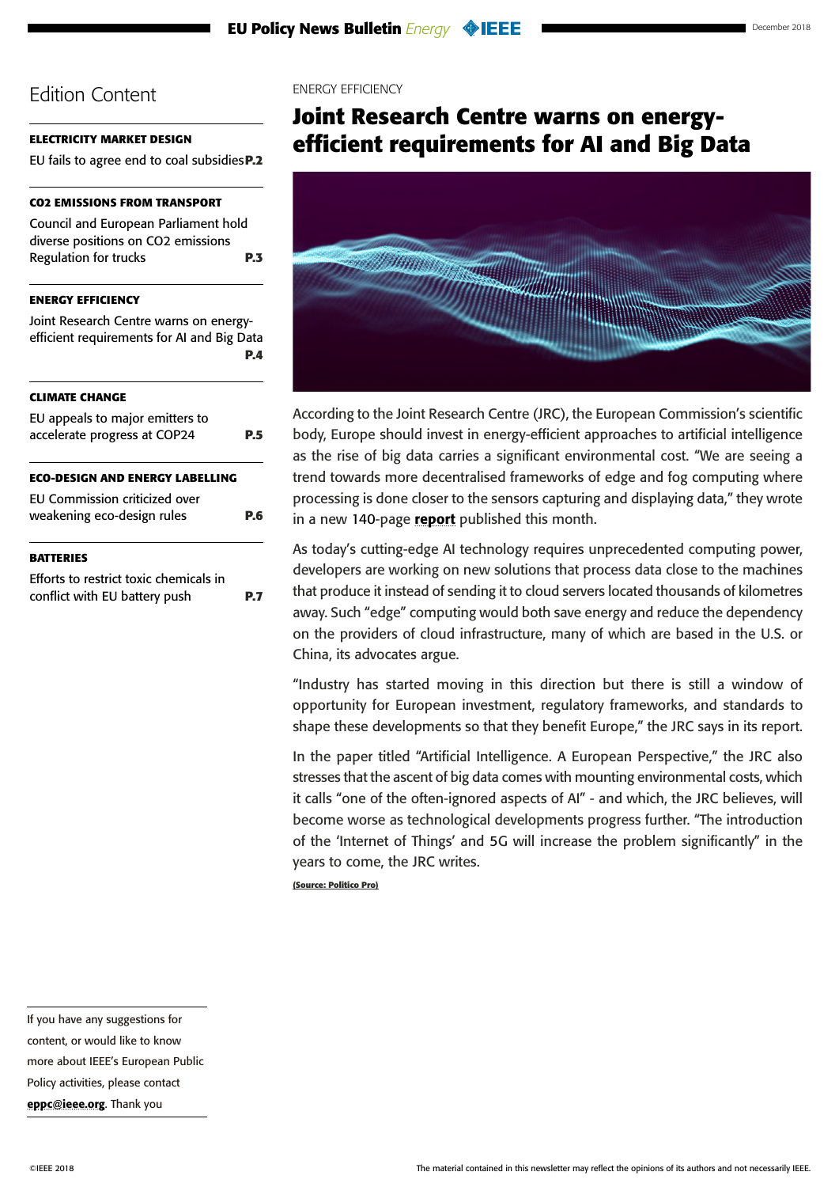## <span id="page-3-0"></span>**[ELECTRICITY MARKET DESIGN](#page-1-0)**

[EU fails to agree end to coal subsidies](#page-1-0)**P.2**

## **[CO2 EMISSIONS FROM TRANSPORT](#page-2-0)**

[Council and European Parliament hold](#page-2-0)  [diverse positions on CO2 emissions](#page-2-0)  [Regulation for trucks](#page-2-0) **P.3**

**ENERGY EFFICIENCY** 

Joint Research Centre warns on energyefficient requirements for AI and Big Data **P.4**

## **[CLIMATE CHANGE](#page-4-0)**

| EU appeals to major emitters to<br>accelerate progress at COP24         | PБ  |
|-------------------------------------------------------------------------|-----|
| <b>ECO-DESIGN AND ENERGY LABELLING</b>                                  |     |
| EU Commission criticized over<br>weakening eco-design rules             | P.6 |
| <b>BATTERIES</b>                                                        |     |
| Efforts to restrict toxic chemicals in<br>conflict with EU battery push |     |

#### ENERGY EFFICIENCY

## **Joint Research Centre warns on energyefficient requirements for AI and Big Data**



According to the Joint Research Centre (JRC), the European Commission's scientific body, Europe should invest in energy-efficient approaches to artificial intelligence as the rise of big data carries a significant environmental cost. "We are seeing a trend towards more decentralised frameworks of edge and fog computing where processing is done closer to the sensors capturing and displaying data," they wrote in a new 140-page [report](https://ec.europa.eu/jrc/en/artificial-intelligence-european-perspective) published this month.

As today's cutting-edge AI technology requires unprecedented computing power, developers are working on new solutions that process data close to the machines that produce it instead of sending it to cloud servers located thousands of kilometres away. Such "edge" computing would both save energy and reduce the dependency on the providers of cloud infrastructure, many of which are based in the U.S. or China, its advocates argue.

"Industry has started moving in this direction but there is still a window of opportunity for European investment, regulatory frameworks, and standards to shape these developments so that they benefit Europe," the JRC says in its report.

In the paper titled "Artificial Intelligence. A European Perspective," the JRC also stresses that the ascent of big data comes with mounting environmental costs, which it calls "one of the often-ignored aspects of AI" - and which, the JRC believes, will become worse as technological developments progress further. "The introduction of the 'Internet of Things' and 5G will increase the problem significantly" in the years to come, the JRC writes. **(Source: Politico Pro)**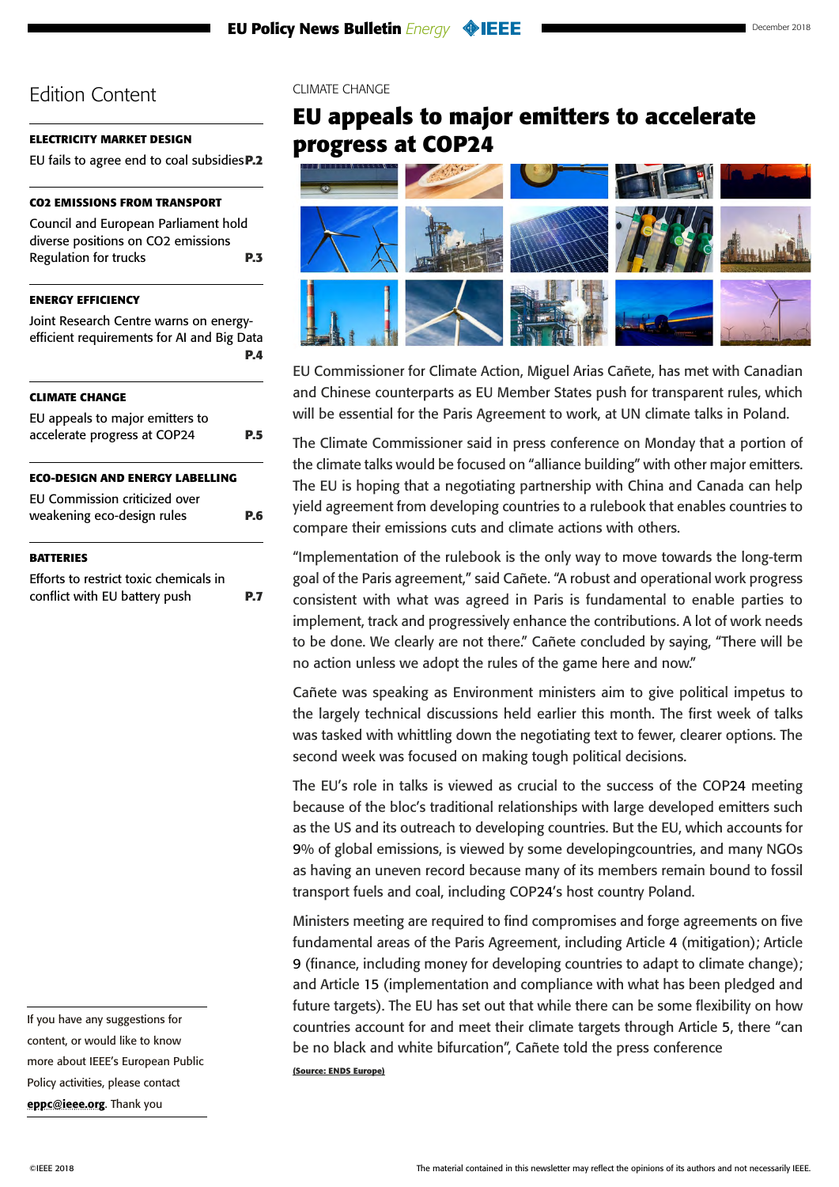### <span id="page-4-0"></span>**[ELECTRICITY MARKET DESIGN](#page-1-0)**

[EU fails to agree end to coal subsidies](#page-1-0)**P.2**

## **[CO2 EMISSIONS FROM TRANSPORT](#page-2-0)**

[Council and European Parliament hold](#page-2-0)  [diverse positions on CO2 emissions](#page-2-0)  [Regulation for trucks](#page-2-0) **P.3**

## **[ENERGY EFFICIENCY](#page-3-0)**

[Joint Research Centre warns on energy](#page-3-0)[efficient requirements for AI and Big Data](#page-3-0) **[P.4](#page-3-0) CLIMATE CHANGE** EU appeals to major emitters to accelerate progress at COP24 **P.5 [ECO-DESIGN AND ENERGY LABELLING](#page-5-0)** [EU Commission criticized over](#page-5-0)  [weakening eco-design rules](#page-5-0) **P.6**

#### **[BATTERIES](#page-6-0)**

[Efforts to restrict toxic chemicals in](#page-6-0)  [conflict with EU battery push](#page-6-0) **P.7** CLIMATE CHANGE

## **EU appeals to major emitters to accelerate progress at COP24**



EU Commissioner for Climate Action, Miguel Arias Cañete, has met with Canadian and Chinese counterparts as EU Member States push for transparent rules, which will be essential for the Paris Agreement to work, at UN climate talks in Poland.

The Climate Commissioner said in press conference on Monday that a portion of the climate talks would be focused on "alliance building" with other major emitters. The EU is hoping that a negotiating partnership with China and Canada can help yield agreement from developing countries to a rulebook that enables countries to compare their emissions cuts and climate actions with others.

"Implementation of the rulebook is the only way to move towards the long-term goal of the Paris agreement," said Cañete. "A robust and operational work progress consistent with what was agreed in Paris is fundamental to enable parties to implement, track and progressively enhance the contributions. A lot of work needs to be done. We clearly are not there." Cañete concluded by saying, "There will be no action unless we adopt the rules of the game here and now."

Cañete was speaking as Environment ministers aim to give political impetus to the largely technical discussions held earlier this month. The first week of talks was tasked with whittling down the negotiating text to fewer, clearer options. The second week was focused on making tough political decisions.

The EU's role in talks is viewed as crucial to the success of the COP24 meeting because of the bloc's traditional relationships with large developed emitters such as the US and its outreach to developing countries. But the EU, which accounts for 9% of global emissions, is viewed by some developingcountries, and many NGOs as having an uneven record because many of its members remain bound to fossil transport fuels and coal, including COP24's host country Poland.

Ministers meeting are required to find compromises and forge agreements on five fundamental areas of the Paris Agreement, including Article 4 (mitigation); Article 9 (finance, including money for developing countries to adapt to climate change); and Article 15 (implementation and compliance with what has been pledged and future targets). The EU has set out that while there can be some flexibility on how countries account for and meet their climate targets through Article 5, there "can be no black and white bifurcation", Cañete told the press conference

**(Source: ENDS Europe)**

[eppc@ieee.org](mailto:eppc%40ieee.org?subject=). Thank you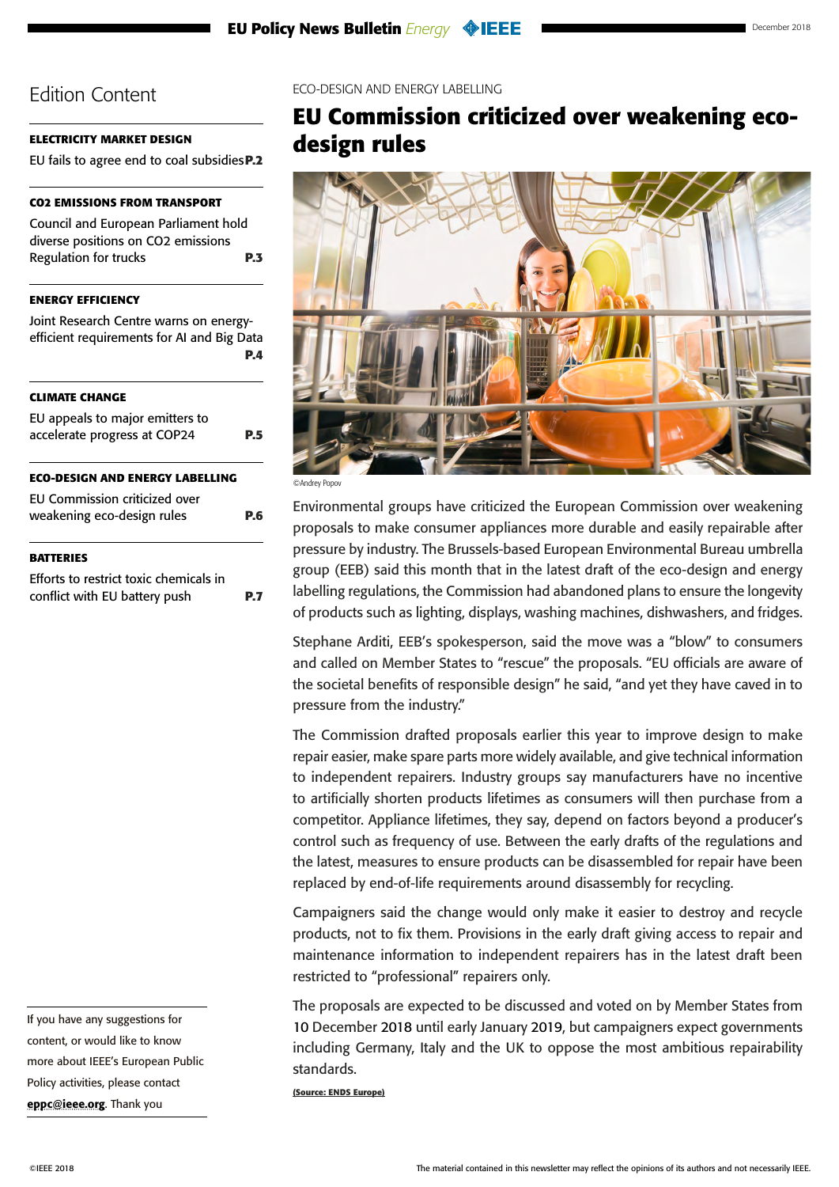### <span id="page-5-0"></span>**[ELECTRICITY MARKET DESIGN](#page-1-0)**

[EU fails to agree end to coal subsidies](#page-1-0)**P.2**

## **[CO2 EMISSIONS FROM TRANSPORT](#page-2-0)**

[Council and European Parliament hold](#page-2-0)  [diverse positions on CO2 emissions](#page-2-0)  [Regulation for trucks](#page-2-0) **P.3**

## **[ENERGY EFFICIENCY](#page-3-0)**

[Joint Research Centre warns on energy](#page-3-0)[efficient requirements for AI and Big Data](#page-3-0) **[P.4](#page-3-0) [CLIMATE CHANGE](#page-4-0)** [EU appeals to major emitters to](#page-4-0)  [accelerate progress at COP24](#page-4-0) **P.5 ECO-DESIGN AND ENERGY LABELLING** EU Commission criticized over weakening eco-design rules **P.6**

### **[BATTERIES](#page-6-0)**

[Efforts to restrict toxic chemicals in](#page-6-0)  [conflict with EU battery push](#page-6-0) **P.7** ECO-DESIGN AND ENERGY LABELLING

## **EU Commission criticized over weakening ecodesign rules**



©Andrey Popov

Environmental groups have criticized the European Commission over weakening proposals to make consumer appliances more durable and easily repairable after pressure by industry. The Brussels-based European Environmental Bureau umbrella group (EEB) said this month that in the latest draft of the eco-design and energy labelling regulations, the Commission had abandoned plans to ensure the longevity of products such as lighting, displays, washing machines, dishwashers, and fridges.

Stephane Arditi, EEB's spokesperson, said the move was a "blow" to consumers and called on Member States to "rescue" the proposals. "EU officials are aware of the societal benefits of responsible design" he said, "and yet they have caved in to pressure from the industry."

The Commission drafted proposals earlier this year to improve design to make repair easier, make spare parts more widely available, and give technical information to independent repairers. Industry groups say manufacturers have no incentive to artificially shorten products lifetimes as consumers will then purchase from a competitor. Appliance lifetimes, they say, depend on factors beyond a producer's control such as frequency of use. Between the early drafts of the regulations and the latest, measures to ensure products can be disassembled for repair have been replaced by end-of-life requirements around disassembly for recycling.

Campaigners said the change would only make it easier to destroy and recycle products, not to fix them. Provisions in the early draft giving access to repair and maintenance information to independent repairers has in the latest draft been restricted to "professional" repairers only.

The proposals are expected to be discussed and voted on by Member States from 10 December 2018 until early January 2019, but campaigners expect governments including Germany, Italy and the UK to oppose the most ambitious repairability standards.

**(Source: ENDS Europe)**